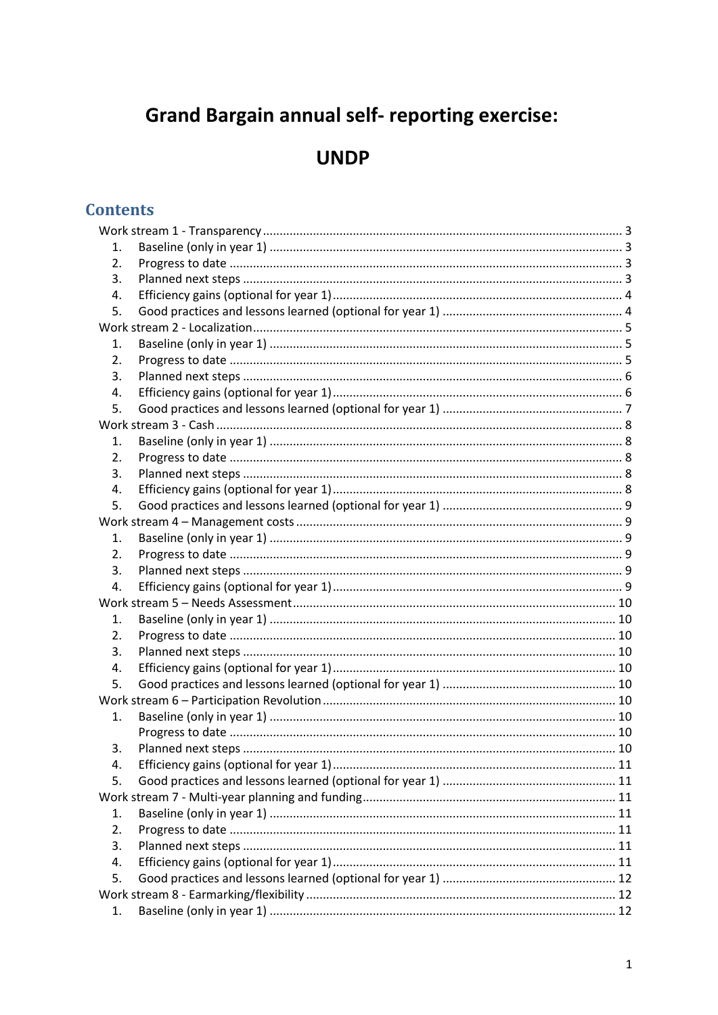# **Grand Bargain annual self- reporting exercise:**

# **UNDP**

## **Contents**

| 1. |  |  |  |  |
|----|--|--|--|--|
| 2. |  |  |  |  |
| 3. |  |  |  |  |
| 4. |  |  |  |  |
| 5. |  |  |  |  |
|    |  |  |  |  |
| 1. |  |  |  |  |
| 2. |  |  |  |  |
| 3. |  |  |  |  |
| 4. |  |  |  |  |
| 5. |  |  |  |  |
|    |  |  |  |  |
| 1. |  |  |  |  |
| 2. |  |  |  |  |
| 3. |  |  |  |  |
| 4. |  |  |  |  |
| 5. |  |  |  |  |
|    |  |  |  |  |
| 1. |  |  |  |  |
| 2. |  |  |  |  |
| 3. |  |  |  |  |
| 4. |  |  |  |  |
|    |  |  |  |  |
| 1. |  |  |  |  |
| 2. |  |  |  |  |
| 3. |  |  |  |  |
| 4. |  |  |  |  |
| 5. |  |  |  |  |
|    |  |  |  |  |
| 1. |  |  |  |  |
|    |  |  |  |  |
| 3. |  |  |  |  |
| 4. |  |  |  |  |
| 5. |  |  |  |  |
|    |  |  |  |  |
| 1. |  |  |  |  |
| 2. |  |  |  |  |
| 3. |  |  |  |  |
| 4. |  |  |  |  |
| 5. |  |  |  |  |
|    |  |  |  |  |
| 1. |  |  |  |  |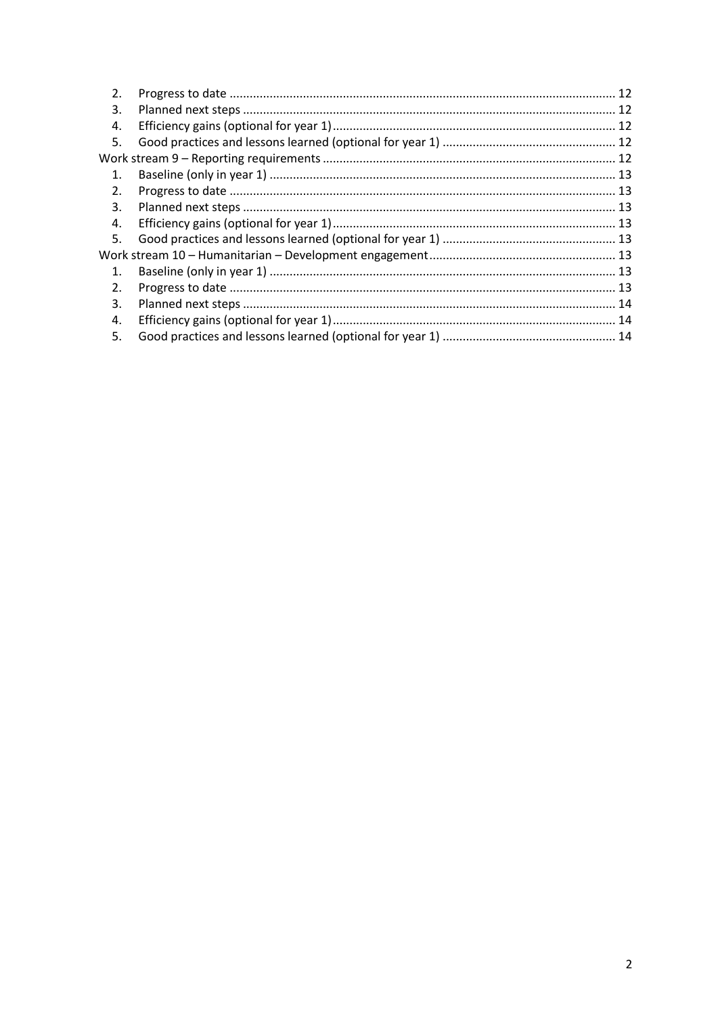| 2.             |  |
|----------------|--|
| 3.             |  |
| 4.             |  |
| 5.             |  |
|                |  |
| 1.             |  |
| 2.             |  |
| 3.             |  |
| 4.             |  |
| 5.             |  |
|                |  |
| $\mathbf{1}$ . |  |
| 2.             |  |
| 3.             |  |
| 4.             |  |
| 5.             |  |
|                |  |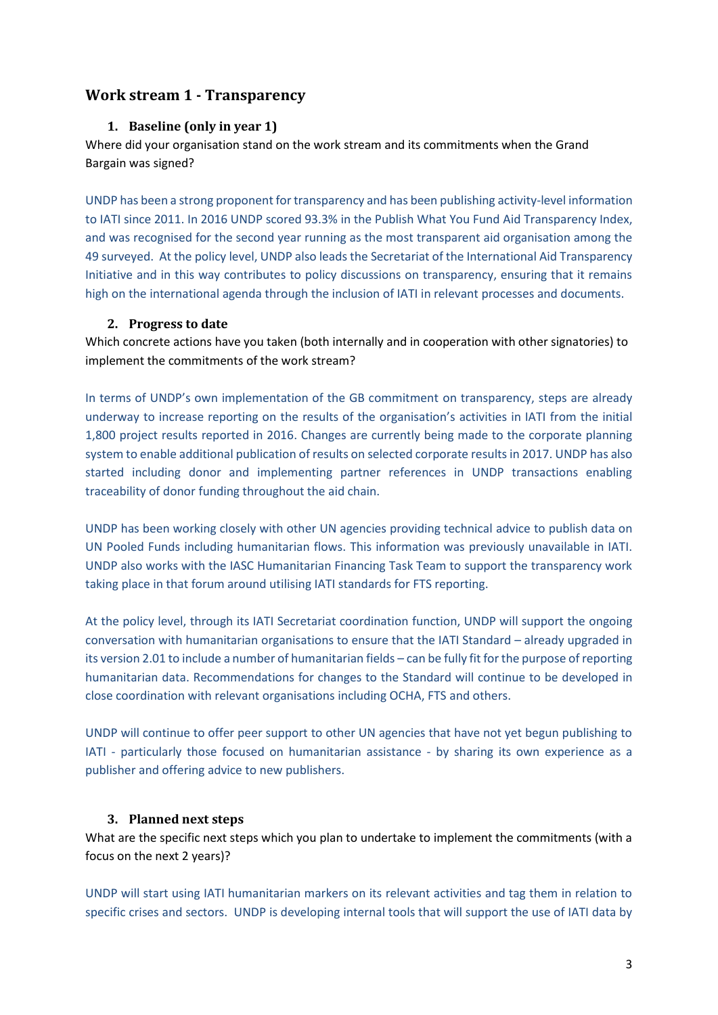## <span id="page-2-1"></span><span id="page-2-0"></span>**Work stream 1 - Transparency**

#### **1. Baseline (only in year 1)**

Where did your organisation stand on the work stream and its commitments when the Grand Bargain was signed?

UNDP has been a strong proponent for transparency and has been publishing activity-level information to IATI since 2011. In 2016 UNDP scored 93.3% in the Publish What You Fund Aid Transparency Index, and was recognised for the second year running as the most transparent aid organisation among the 49 surveyed. At the policy level, UNDP also leads the Secretariat of the International Aid Transparency Initiative and in this way contributes to policy discussions on transparency, ensuring that it remains high on the international agenda through the inclusion of IATI in relevant processes and documents.

#### <span id="page-2-2"></span>**2. Progress to date**

Which concrete actions have you taken (both internally and in cooperation with other signatories) to implement the commitments of the work stream?

In terms of UNDP's own implementation of the GB commitment on transparency, steps are already underway to increase reporting on the results of the organisation's activities in IATI from the initial 1,800 project results reported in 2016. Changes are currently being made to the corporate planning system to enable additional publication of results on selected corporate results in 2017. UNDP has also started including donor and implementing partner references in UNDP transactions enabling traceability of donor funding throughout the aid chain.

UNDP has been working closely with other UN agencies providing technical advice to publish data on UN Pooled Funds including humanitarian flows. This information was previously unavailable in IATI. UNDP also works with the IASC Humanitarian Financing Task Team to support the transparency work taking place in that forum around utilising IATI standards for FTS reporting.

At the policy level, through its IATI Secretariat coordination function, UNDP will support the ongoing conversation with humanitarian organisations to ensure that the IATI Standard – already upgraded in its version 2.01 to include a number of humanitarian fields – can be fully fit for the purpose of reporting humanitarian data. Recommendations for changes to the Standard will continue to be developed in close coordination with relevant organisations including OCHA, FTS and others.

UNDP will continue to offer peer support to other UN agencies that have not yet begun publishing to IATI - particularly those focused on humanitarian assistance - by sharing its own experience as a publisher and offering advice to new publishers.

## <span id="page-2-3"></span>**3. Planned next steps**

What are the specific next steps which you plan to undertake to implement the commitments (with a focus on the next 2 years)?

UNDP will start using IATI humanitarian markers on its relevant activities and tag them in relation to specific crises and sectors. UNDP is developing internal tools that will support the use of IATI data by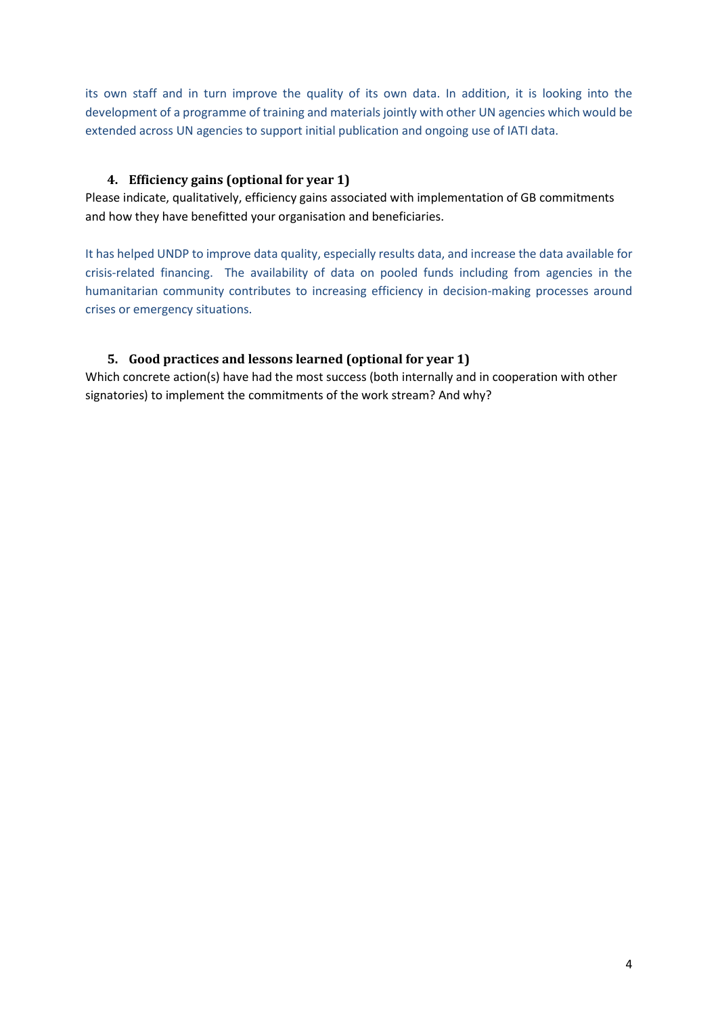its own staff and in turn improve the quality of its own data. In addition, it is looking into the development of a programme of training and materials jointly with other UN agencies which would be extended across UN agencies to support initial publication and ongoing use of IATI data.

## <span id="page-3-0"></span>**4. Efficiency gains (optional for year 1)**

Please indicate, qualitatively, efficiency gains associated with implementation of GB commitments and how they have benefitted your organisation and beneficiaries.

It has helped UNDP to improve data quality, especially results data, and increase the data available for crisis-related financing. The availability of data on pooled funds including from agencies in the humanitarian community contributes to increasing efficiency in decision-making processes around crises or emergency situations.

## <span id="page-3-1"></span>**5. Good practices and lessons learned (optional for year 1)**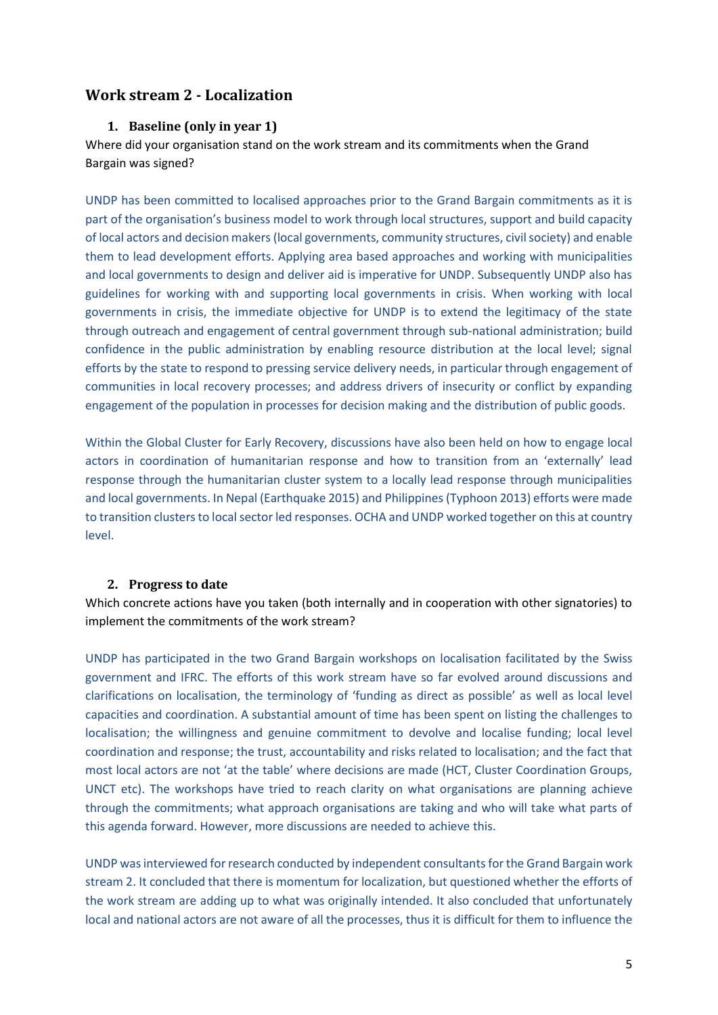## <span id="page-4-1"></span><span id="page-4-0"></span>**Work stream 2 - Localization**

#### **1. Baseline (only in year 1)**

Where did your organisation stand on the work stream and its commitments when the Grand Bargain was signed?

UNDP has been committed to localised approaches prior to the Grand Bargain commitments as it is part of the organisation's business model to work through local structures, support and build capacity of local actors and decision makers(local governments, community structures, civil society) and enable them to lead development efforts. Applying area based approaches and working with municipalities and local governments to design and deliver aid is imperative for UNDP. Subsequently UNDP also has guidelines for working with and supporting local governments in crisis. When working with local governments in crisis, the immediate objective for UNDP is to extend the legitimacy of the state through outreach and engagement of central government through sub-national administration; build confidence in the public administration by enabling resource distribution at the local level; signal efforts by the state to respond to pressing service delivery needs, in particular through engagement of communities in local recovery processes; and address drivers of insecurity or conflict by expanding engagement of the population in processes for decision making and the distribution of public goods.

Within the Global Cluster for Early Recovery, discussions have also been held on how to engage local actors in coordination of humanitarian response and how to transition from an 'externally' lead response through the humanitarian cluster system to a locally lead response through municipalities and local governments. In Nepal (Earthquake 2015) and Philippines (Typhoon 2013) efforts were made to transition clusters to local sector led responses. OCHA and UNDP worked together on this at country level.

#### <span id="page-4-2"></span>**2. Progress to date**

Which concrete actions have you taken (both internally and in cooperation with other signatories) to implement the commitments of the work stream?

UNDP has participated in the two Grand Bargain workshops on localisation facilitated by the Swiss government and IFRC. The efforts of this work stream have so far evolved around discussions and clarifications on localisation, the terminology of 'funding as direct as possible' as well as local level capacities and coordination. A substantial amount of time has been spent on listing the challenges to localisation; the willingness and genuine commitment to devolve and localise funding; local level coordination and response; the trust, accountability and risks related to localisation; and the fact that most local actors are not 'at the table' where decisions are made (HCT, Cluster Coordination Groups, UNCT etc). The workshops have tried to reach clarity on what organisations are planning achieve through the commitments; what approach organisations are taking and who will take what parts of this agenda forward. However, more discussions are needed to achieve this.

UNDP was interviewed for research conducted by independent consultants for the Grand Bargain work stream 2. It concluded that there is momentum for localization, but questioned whether the efforts of the work stream are adding up to what was originally intended. It also concluded that unfortunately local and national actors are not aware of all the processes, thus it is difficult for them to influence the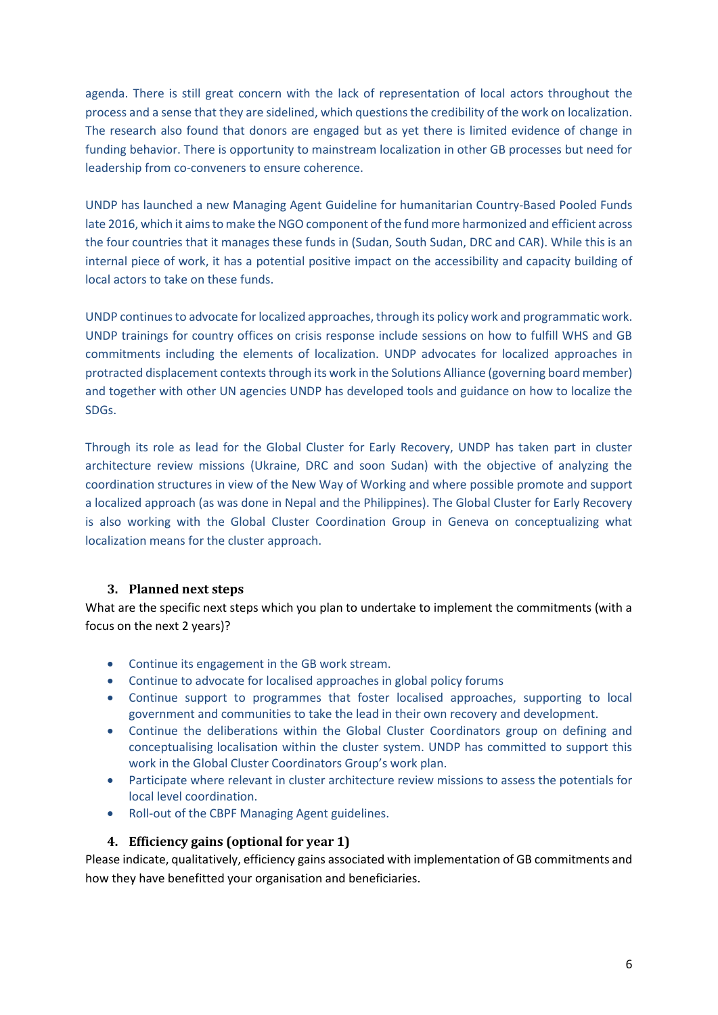agenda. There is still great concern with the lack of representation of local actors throughout the process and a sense that they are sidelined, which questions the credibility of the work on localization. The research also found that donors are engaged but as yet there is limited evidence of change in funding behavior. There is opportunity to mainstream localization in other GB processes but need for leadership from co-conveners to ensure coherence.

UNDP has launched a new Managing Agent Guideline for humanitarian Country-Based Pooled Funds late 2016, which it aims to make the NGO component of the fund more harmonized and efficient across the four countries that it manages these funds in (Sudan, South Sudan, DRC and CAR). While this is an internal piece of work, it has a potential positive impact on the accessibility and capacity building of local actors to take on these funds.

UNDP continues to advocate for localized approaches, through its policy work and programmatic work. UNDP trainings for country offices on crisis response include sessions on how to fulfill WHS and GB commitments including the elements of localization. UNDP advocates for localized approaches in protracted displacement contexts through its work in the Solutions Alliance (governing board member) and together with other UN agencies UNDP has developed tools and guidance on how to localize the SDGs.

Through its role as lead for the Global Cluster for Early Recovery, UNDP has taken part in cluster architecture review missions (Ukraine, DRC and soon Sudan) with the objective of analyzing the coordination structures in view of the New Way of Working and where possible promote and support a localized approach (as was done in Nepal and the Philippines). The Global Cluster for Early Recovery is also working with the Global Cluster Coordination Group in Geneva on conceptualizing what localization means for the cluster approach.

## <span id="page-5-0"></span>**3. Planned next steps**

What are the specific next steps which you plan to undertake to implement the commitments (with a focus on the next 2 years)?

- Continue its engagement in the GB work stream.
- Continue to advocate for localised approaches in global policy forums
- Continue support to programmes that foster localised approaches, supporting to local government and communities to take the lead in their own recovery and development.
- Continue the deliberations within the Global Cluster Coordinators group on defining and conceptualising localisation within the cluster system. UNDP has committed to support this work in the Global Cluster Coordinators Group's work plan.
- Participate where relevant in cluster architecture review missions to assess the potentials for local level coordination.
- Roll-out of the CBPF Managing Agent guidelines.

## <span id="page-5-1"></span>**4. Efficiency gains (optional for year 1)**

Please indicate, qualitatively, efficiency gains associated with implementation of GB commitments and how they have benefitted your organisation and beneficiaries.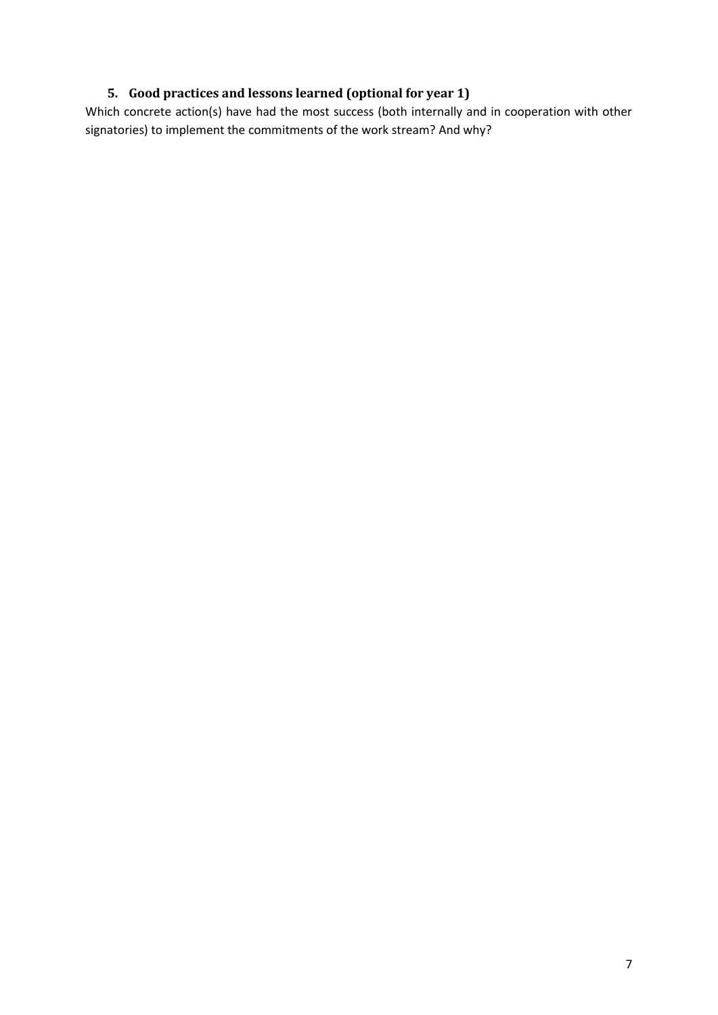## <span id="page-6-0"></span>**5. Good practices and lessons learned (optional for year 1)**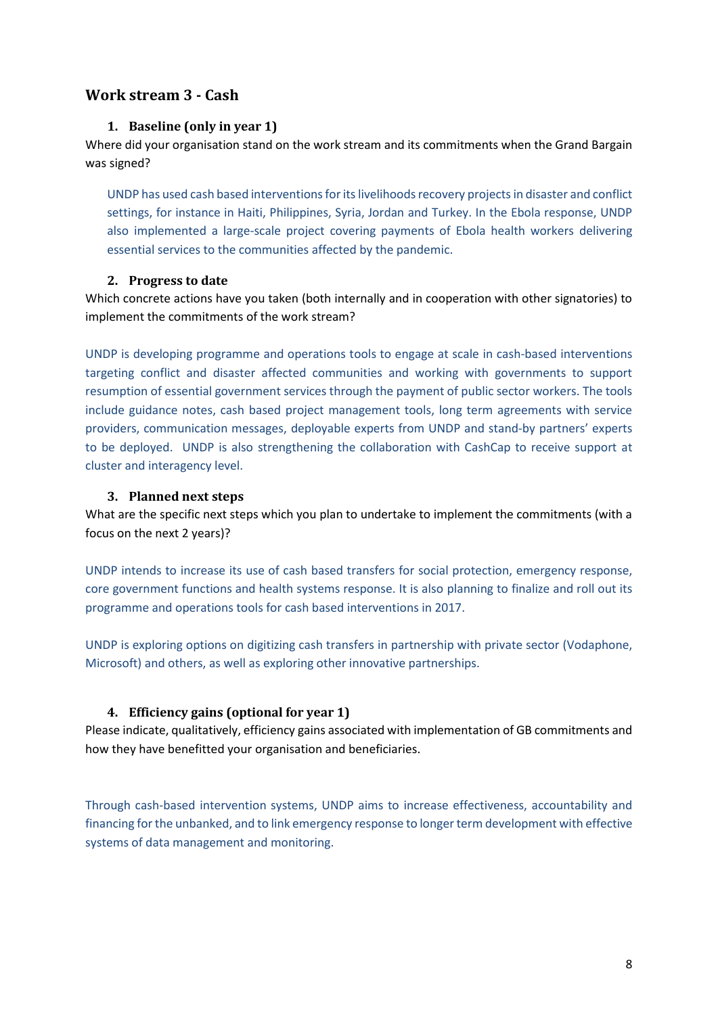## <span id="page-7-1"></span><span id="page-7-0"></span>**Work stream 3 - Cash**

#### **1. Baseline (only in year 1)**

Where did your organisation stand on the work stream and its commitments when the Grand Bargain was signed?

UNDP has used cash based interventions for its livelihoods recovery projects in disaster and conflict settings, for instance in Haiti, Philippines, Syria, Jordan and Turkey. In the Ebola response, UNDP also implemented a large-scale project covering payments of Ebola health workers delivering essential services to the communities affected by the pandemic.

#### <span id="page-7-2"></span>**2. Progress to date**

Which concrete actions have you taken (both internally and in cooperation with other signatories) to implement the commitments of the work stream?

UNDP is developing programme and operations tools to engage at scale in cash-based interventions targeting conflict and disaster affected communities and working with governments to support resumption of essential government services through the payment of public sector workers. The tools include guidance notes, cash based project management tools, long term agreements with service providers, communication messages, deployable experts from UNDP and stand-by partners' experts to be deployed. UNDP is also strengthening the collaboration with CashCap to receive support at cluster and interagency level.

## <span id="page-7-3"></span>**3. Planned next steps**

What are the specific next steps which you plan to undertake to implement the commitments (with a focus on the next 2 years)?

UNDP intends to increase its use of cash based transfers for social protection, emergency response, core government functions and health systems response. It is also planning to finalize and roll out its programme and operations tools for cash based interventions in 2017.

UNDP is exploring options on digitizing cash transfers in partnership with private sector (Vodaphone, Microsoft) and others, as well as exploring other innovative partnerships.

## <span id="page-7-4"></span>**4. Efficiency gains (optional for year 1)**

Please indicate, qualitatively, efficiency gains associated with implementation of GB commitments and how they have benefitted your organisation and beneficiaries.

Through cash-based intervention systems, UNDP aims to increase effectiveness, accountability and financing for the unbanked, and to link emergency response to longer term development with effective systems of data management and monitoring.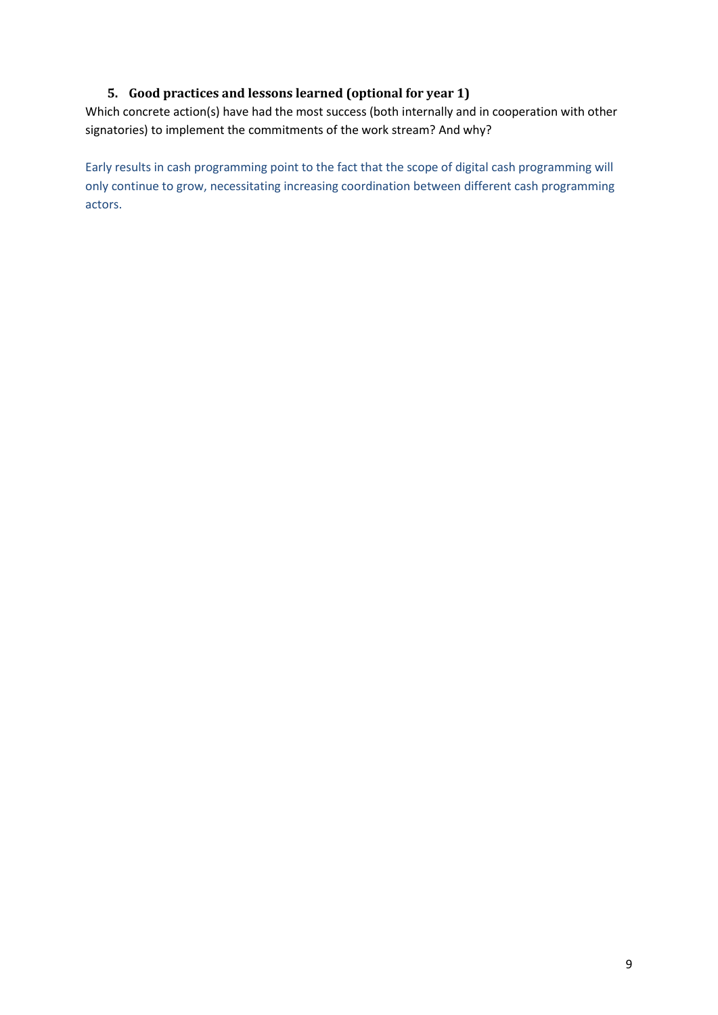## **5. Good practices and lessons learned (optional for year 1)**

<span id="page-8-0"></span>Which concrete action(s) have had the most success (both internally and in cooperation with other signatories) to implement the commitments of the work stream? And why?

Early results in cash programming point to the fact that the scope of digital cash programming will only continue to grow, necessitating increasing coordination between different cash programming actors.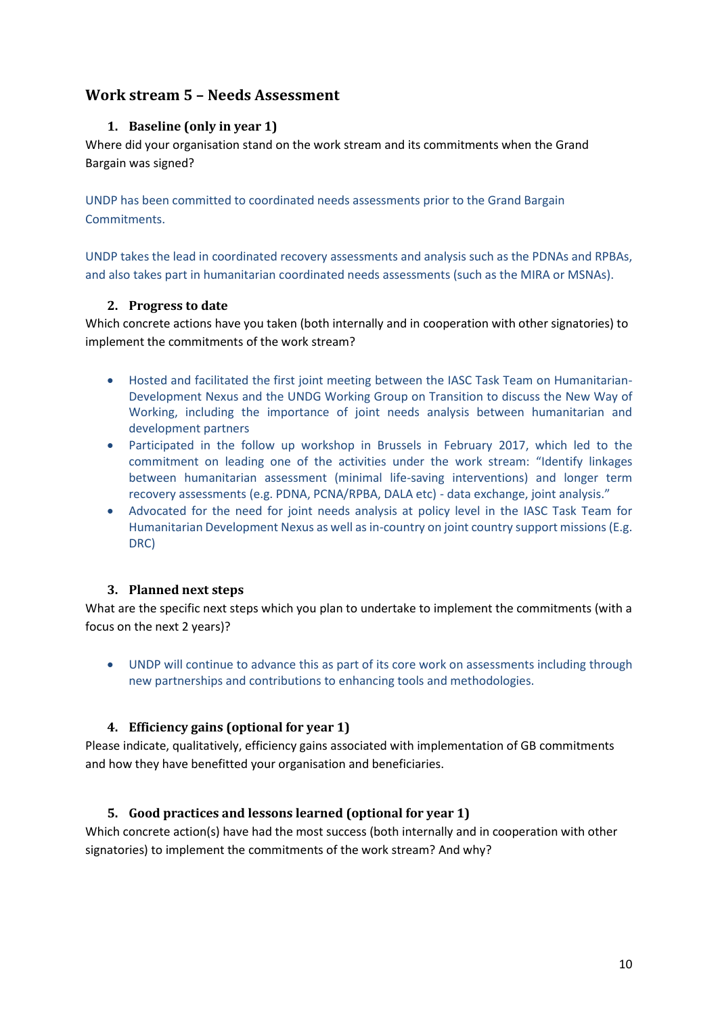## <span id="page-9-1"></span><span id="page-9-0"></span>**Work stream 5 – Needs Assessment**

## **1. Baseline (only in year 1)**

Where did your organisation stand on the work stream and its commitments when the Grand Bargain was signed?

UNDP has been committed to coordinated needs assessments prior to the Grand Bargain Commitments.

UNDP takes the lead in coordinated recovery assessments and analysis such as the PDNAs and RPBAs, and also takes part in humanitarian coordinated needs assessments (such as the MIRA or MSNAs).

## <span id="page-9-2"></span>**2. Progress to date**

Which concrete actions have you taken (both internally and in cooperation with other signatories) to implement the commitments of the work stream?

- Hosted and facilitated the first joint meeting between the IASC Task Team on Humanitarian-Development Nexus and the UNDG Working Group on Transition to discuss the New Way of Working, including the importance of joint needs analysis between humanitarian and development partners
- Participated in the follow up workshop in Brussels in February 2017, which led to the commitment on leading one of the activities under the work stream: "Identify linkages between humanitarian assessment (minimal life-saving interventions) and longer term recovery assessments (e.g. PDNA, PCNA/RPBA, DALA etc) - data exchange, joint analysis."
- Advocated for the need for joint needs analysis at policy level in the IASC Task Team for Humanitarian Development Nexus as well as in-country on joint country support missions (E.g. DRC)

## <span id="page-9-3"></span>**3. Planned next steps**

What are the specific next steps which you plan to undertake to implement the commitments (with a focus on the next 2 years)?

 UNDP will continue to advance this as part of its core work on assessments including through new partnerships and contributions to enhancing tools and methodologies.

## <span id="page-9-4"></span>**4. Efficiency gains (optional for year 1)**

Please indicate, qualitatively, efficiency gains associated with implementation of GB commitments and how they have benefitted your organisation and beneficiaries.

## <span id="page-9-5"></span>**5. Good practices and lessons learned (optional for year 1)**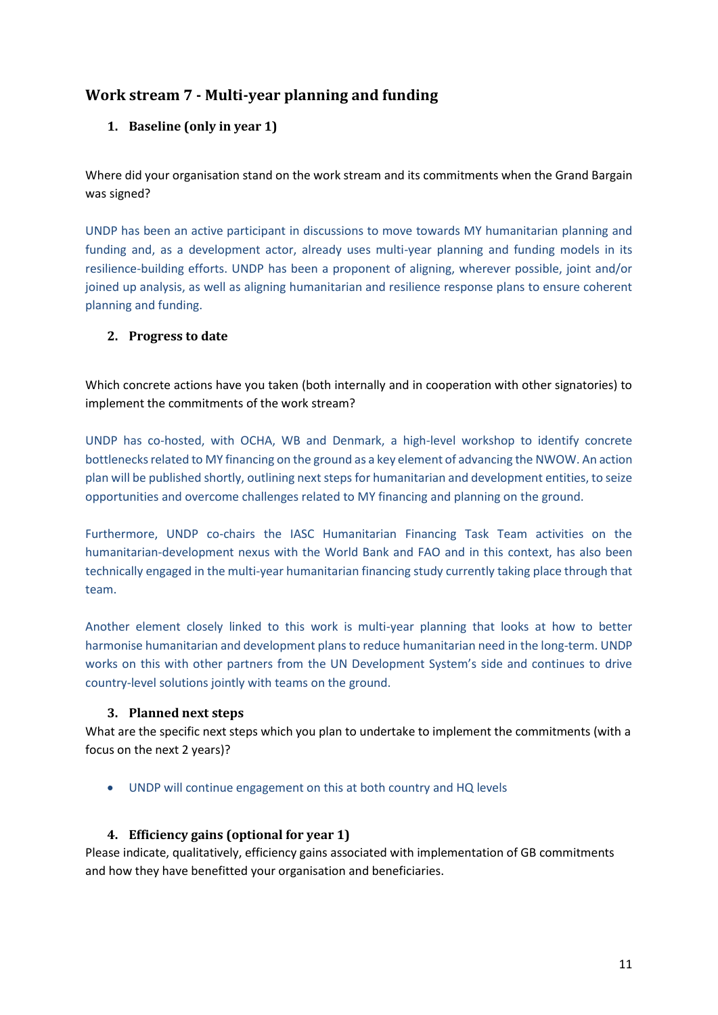## <span id="page-10-1"></span><span id="page-10-0"></span>**Work stream 7 - Multi-year planning and funding**

## **1. Baseline (only in year 1)**

Where did your organisation stand on the work stream and its commitments when the Grand Bargain was signed?

UNDP has been an active participant in discussions to move towards MY humanitarian planning and funding and, as a development actor, already uses multi-year planning and funding models in its resilience-building efforts. UNDP has been a proponent of aligning, wherever possible, joint and/or joined up analysis, as well as aligning humanitarian and resilience response plans to ensure coherent planning and funding.

#### <span id="page-10-2"></span>**2. Progress to date**

Which concrete actions have you taken (both internally and in cooperation with other signatories) to implement the commitments of the work stream?

UNDP has co-hosted, with OCHA, WB and Denmark, a high-level workshop to identify concrete bottlenecks related to MY financing on the ground as a key element of advancing the NWOW. An action plan will be published shortly, outlining next steps for humanitarian and development entities, to seize opportunities and overcome challenges related to MY financing and planning on the ground.

Furthermore, UNDP co-chairs the IASC Humanitarian Financing Task Team activities on the humanitarian-development nexus with the World Bank and FAO and in this context, has also been technically engaged in the multi-year humanitarian financing study currently taking place through that team.

Another element closely linked to this work is multi-year planning that looks at how to better harmonise humanitarian and development plans to reduce humanitarian need in the long-term. UNDP works on this with other partners from the UN Development System's side and continues to drive country-level solutions jointly with teams on the ground.

#### <span id="page-10-3"></span>**3. Planned next steps**

What are the specific next steps which you plan to undertake to implement the commitments (with a focus on the next 2 years)?

UNDP will continue engagement on this at both country and HQ levels

## <span id="page-10-4"></span>**4. Efficiency gains (optional for year 1)**

Please indicate, qualitatively, efficiency gains associated with implementation of GB commitments and how they have benefitted your organisation and beneficiaries.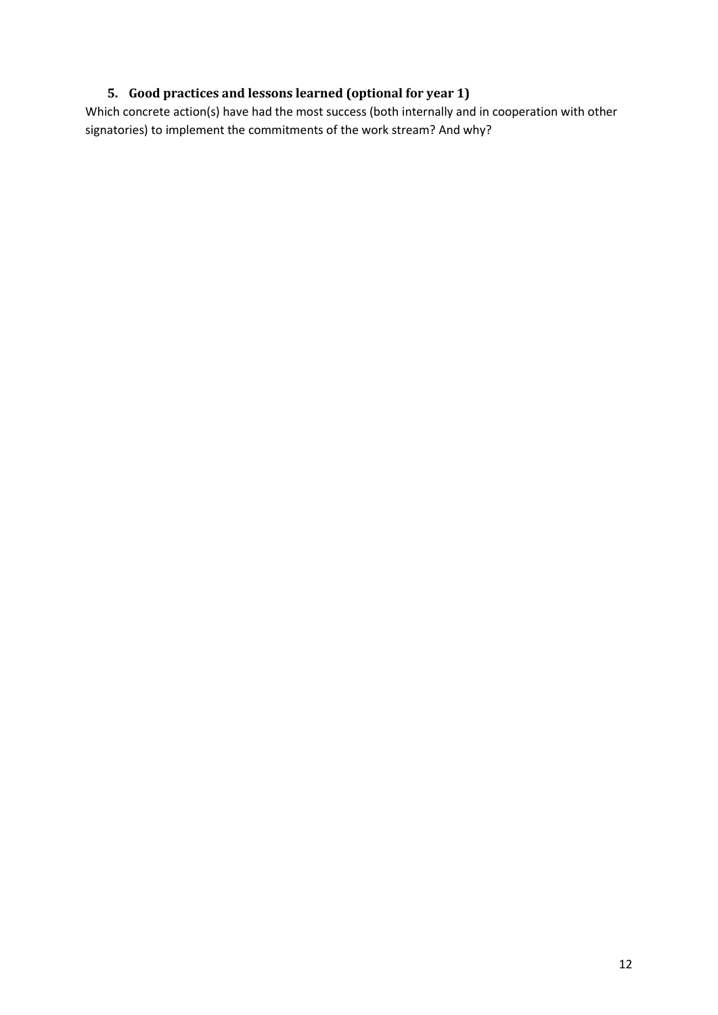## <span id="page-11-0"></span>**5. Good practices and lessons learned (optional for year 1)**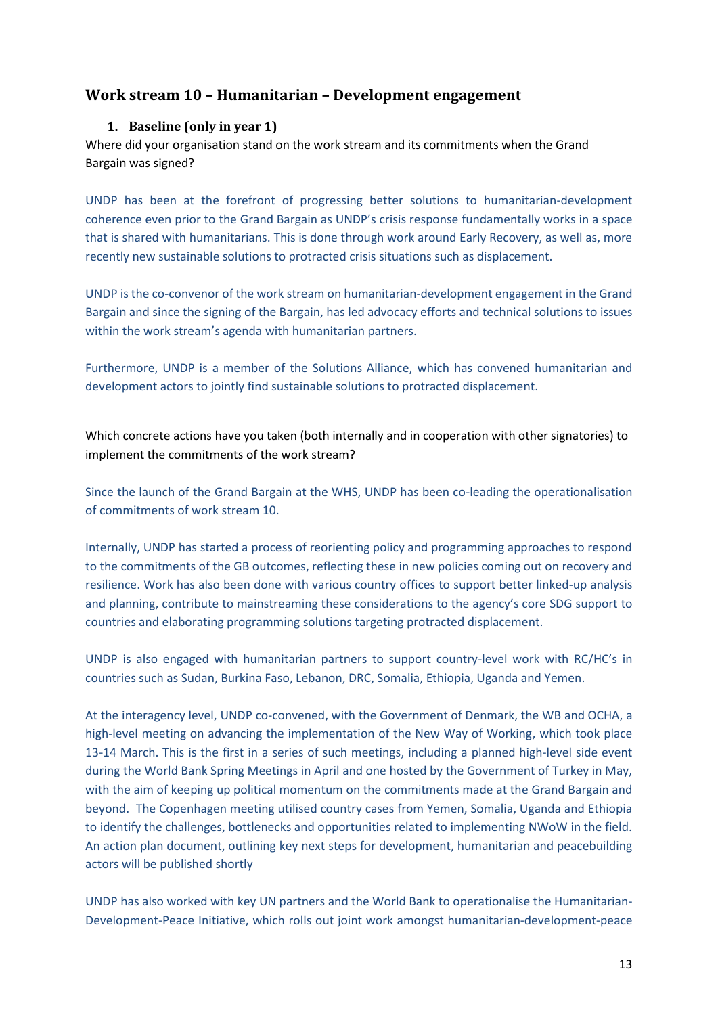## <span id="page-12-1"></span><span id="page-12-0"></span>**Work stream 10 – Humanitarian – Development engagement**

#### **1. Baseline (only in year 1)**

Where did your organisation stand on the work stream and its commitments when the Grand Bargain was signed?

UNDP has been at the forefront of progressing better solutions to humanitarian-development coherence even prior to the Grand Bargain as UNDP's crisis response fundamentally works in a space that is shared with humanitarians. This is done through work around Early Recovery, as well as, more recently new sustainable solutions to protracted crisis situations such as displacement.

UNDP is the co-convenor of the work stream on humanitarian-development engagement in the Grand Bargain and since the signing of the Bargain, has led advocacy efforts and technical solutions to issues within the work stream's agenda with humanitarian partners.

<span id="page-12-2"></span>Furthermore, UNDP is a member of the Solutions Alliance, which has convened humanitarian and development actors to jointly find sustainable solutions to protracted displacement.

Which concrete actions have you taken (both internally and in cooperation with other signatories) to implement the commitments of the work stream?

Since the launch of the Grand Bargain at the WHS, UNDP has been co-leading the operationalisation of commitments of work stream 10.

Internally, UNDP has started a process of reorienting policy and programming approaches to respond to the commitments of the GB outcomes, reflecting these in new policies coming out on recovery and resilience. Work has also been done with various country offices to support better linked-up analysis and planning, contribute to mainstreaming these considerations to the agency's core SDG support to countries and elaborating programming solutions targeting protracted displacement.

UNDP is also engaged with humanitarian partners to support country-level work with RC/HC's in countries such as Sudan, Burkina Faso, Lebanon, DRC, Somalia, Ethiopia, Uganda and Yemen.

At the interagency level, UNDP co-convened, with the Government of Denmark, the WB and OCHA, a high-level meeting on advancing the implementation of the New Way of Working, which took place 13-14 March. This is the first in a series of such meetings, including a planned high-level side event during the World Bank Spring Meetings in April and one hosted by the Government of Turkey in May, with the aim of keeping up political momentum on the commitments made at the Grand Bargain and beyond. The Copenhagen meeting utilised country cases from Yemen, Somalia, Uganda and Ethiopia to identify the challenges, bottlenecks and opportunities related to implementing NWoW in the field. An action plan document, outlining key next steps for development, humanitarian and peacebuilding actors will be published shortly

UNDP has also worked with key UN partners and the World Bank to operationalise the Humanitarian-Development-Peace Initiative, which rolls out joint work amongst humanitarian-development-peace